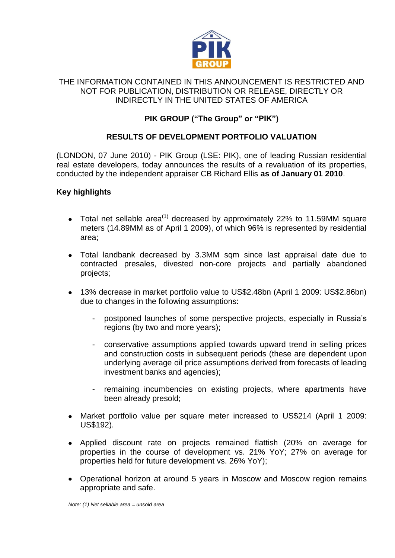

#### THE INFORMATION CONTAINED IN THIS ANNOUNCEMENT IS RESTRICTED AND NOT FOR PUBLICATION, DISTRIBUTION OR RELEASE, DIRECTLY OR INDIRECTLY IN THE UNITED STATES OF AMERICA

## **PIK GROUP ("The Group" or "PIK")**

### **RESULTS OF DEVELOPMENT PORTFOLIO VALUATION**

(LONDON, 07 June 2010) - PIK Group (LSE: PIK), one of leading Russian residential real estate developers, today announces the results of a revaluation of its properties, conducted by the independent appraiser CB Richard Ellis **as of January 01 2010**.

#### **Key highlights**

- Total net sellable area<sup>(1)</sup> decreased by approximately 22% to 11.59MM square meters (14.89MM as of April 1 2009), of which 96% is represented by residential area;
- Total landbank decreased by 3.3MM sqm since last appraisal date due to contracted presales, divested non-core projects and partially abandoned projects;
- 13% decrease in market portfolio value to US\$2.48bn (April 1 2009: US\$2.86bn) due to changes in the following assumptions:
	- postponed launches of some perspective projects, especially in Russia's regions (by two and more years);
	- conservative assumptions applied towards upward trend in selling prices and construction costs in subsequent periods (these are dependent upon underlying average oil price assumptions derived from forecasts of leading investment banks and agencies);
	- remaining incumbencies on existing projects, where apartments have been already presold;
- Market portfolio value per square meter increased to US\$214 (April 1 2009: US\$192).
- Applied discount rate on projects remained flattish (20% on average for properties in the course of development vs. 21% YoY; 27% on average for properties held for future development vs. 26% YoY);
- Operational horizon at around 5 years in Moscow and Moscow region remains appropriate and safe.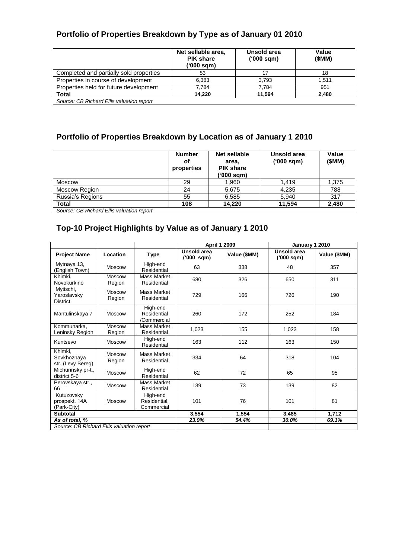# **Portfolio of Properties Breakdown by Type as of January 01 2010**

|                                           | Net sellable area,<br><b>PIK share</b><br>('000 sqm) | Unsold area<br>$(900 \text{ sam})$ | Value<br>(SMM) |
|-------------------------------------------|------------------------------------------------------|------------------------------------|----------------|
| Completed and partially sold properties   | 53                                                   | 17                                 | 18             |
| Properties in course of development       | 6.383                                                | 3.793                              | 1.511          |
| Properties held for future development    | 7.784                                                | 7.784                              | 951            |
| <b>Total</b>                              | 14.220                                               | 11.594                             | 2.480          |
| Source: CB Richard Ellis valuation report |                                                      |                                    |                |

# **Portfolio of Properties Breakdown by Location as of January 1 2010**

|                                           | <b>Number</b><br>οf<br>properties | Net sellable<br>area,<br><b>PIK share</b><br>('000 sqm) | Unsold area<br>('000 sqm) | Value<br>(\$MM) |
|-------------------------------------------|-----------------------------------|---------------------------------------------------------|---------------------------|-----------------|
| <b>Moscow</b>                             | 29                                | 1.960                                                   | 1.419                     | 1.375           |
| Moscow Region                             | 24                                | 5.675                                                   | 4.235                     | 788             |
| Russia's Regions                          | 55                                | 6,585                                                   | 5.940                     | 317             |
| Total                                     | 108                               | 14.220                                                  | 11.594                    | 2,480           |
| Source: CB Richard Ellis valuation report |                                   |                                                         |                           |                 |

## **Top-10 Project Highlights by Value as of January 1 2010**

|                                             |                         |                                        |                           | <b>April 1 2009</b> | January 1 2010            |              |
|---------------------------------------------|-------------------------|----------------------------------------|---------------------------|---------------------|---------------------------|--------------|
| <b>Project Name</b>                         | Location                | <b>Type</b>                            | Unsold area<br>('000 sqm) | Value (\$MM)        | Unsold area<br>('000 sqm) | Value (\$MM) |
| Mytnaya 13,<br>(English Town)               | <b>Moscow</b>           | High-end<br>Residential                | 63                        | 338                 | 48                        | 357          |
| Khimki.<br>Novokurkino                      | <b>Moscow</b><br>Region | Mass Market<br>Residential             | 680                       | 326                 | 650                       | 311          |
| Mytischi,<br>Yaroslavsky<br><b>District</b> | <b>Moscow</b><br>Region | Mass Market<br>Residential             | 729                       | 166                 | 726                       | 190          |
| Mantulinskaya 7                             | <b>Moscow</b>           | High-end<br>Residential<br>/Commercial | 260                       | 172                 | 252                       | 184          |
| Kommunarka,<br>Leninsky Region              | Moscow<br>Region        | Mass Market<br>Residential             | 1.023                     | 155                 | 1.023                     | 158          |
| Kuntsevo                                    | <b>Moscow</b>           | High-end<br>Residential                | 163                       | 112                 | 163                       | 150          |
| Khimki,<br>Sovkhoznaya<br>str. (Levy Bereg) | <b>Moscow</b><br>Region | Mass Market<br>Residential             | 334                       | 64                  | 318                       | 104          |
| Michurinsky pr-t.,<br>district 5-6          | <b>Moscow</b>           | High-end<br>Residential                | 62                        | 72                  | 65                        | 95           |
| Perovskaya str.,<br>66                      | <b>Moscow</b>           | <b>Mass Market</b><br>Residential      | 139                       | 73                  | 139                       | 82           |
| Kutuzovsky<br>prospekt, 14A<br>(Park-City)  | <b>Moscow</b>           | High-end<br>Residential,<br>Commercial | 101                       | 76                  | 101                       | 81           |
| <b>Subtotal</b>                             |                         | 3,554                                  | 1,554                     | 3.485               | 1,712                     |              |
| As of total, %                              |                         | 23.9%                                  | 54.4%                     | 30.0%               | 69.1%                     |              |
| Source: CB Richard Ellis valuation report   |                         |                                        |                           |                     |                           |              |